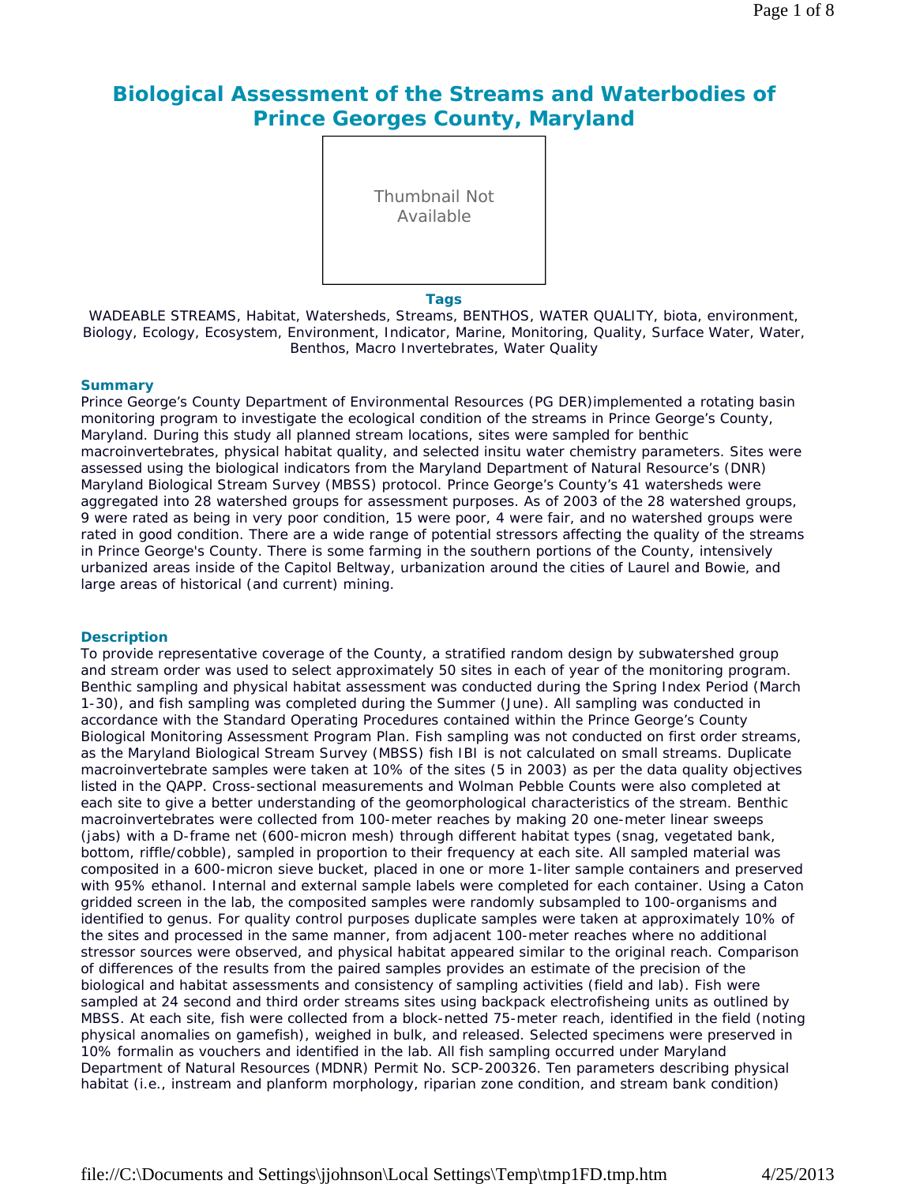# **Biological Assessment of the Streams and Waterbodies of Prince Georges County, Maryland**

Thumbnail Not Available

#### **Tags**

WADEABLE STREAMS, Habitat, Watersheds, Streams, BENTHOS, WATER QUALITY, biota, environment, Biology, Ecology, Ecosystem, Environment, Indicator, Marine, Monitoring, Quality, Surface Water, Water, Benthos, Macro Invertebrates, Water Quality

#### **Summary**

Prince George's County Department of Environmental Resources (PG DER)implemented a rotating basin monitoring program to investigate the ecological condition of the streams in Prince George's County, Maryland. During this study all planned stream locations, sites were sampled for benthic macroinvertebrates, physical habitat quality, and selected insitu water chemistry parameters. Sites were assessed using the biological indicators from the Maryland Department of Natural Resource's (DNR) Maryland Biological Stream Survey (MBSS) protocol. Prince George's County's 41 watersheds were aggregated into 28 watershed groups for assessment purposes. As of 2003 of the 28 watershed groups, 9 were rated as being in very poor condition, 15 were poor, 4 were fair, and no watershed groups were rated in good condition. There are a wide range of potential stressors affecting the quality of the streams in Prince George's County. There is some farming in the southern portions of the County, intensively urbanized areas inside of the Capitol Beltway, urbanization around the cities of Laurel and Bowie, and large areas of historical (and current) mining.

#### **Description**

To provide representative coverage of the County, a stratified random design by subwatershed group and stream order was used to select approximately 50 sites in each of year of the monitoring program. Benthic sampling and physical habitat assessment was conducted during the Spring Index Period (March 1-30), and fish sampling was completed during the Summer (June). All sampling was conducted in accordance with the Standard Operating Procedures contained within the Prince George's County Biological Monitoring Assessment Program Plan. Fish sampling was not conducted on first order streams, as the Maryland Biological Stream Survey (MBSS) fish IBI is not calculated on small streams. Duplicate macroinvertebrate samples were taken at 10% of the sites (5 in 2003) as per the data quality objectives listed in the QAPP. Cross-sectional measurements and Wolman Pebble Counts were also completed at each site to give a better understanding of the geomorphological characteristics of the stream. Benthic macroinvertebrates were collected from 100-meter reaches by making 20 one-meter linear sweeps (jabs) with a D-frame net (600-micron mesh) through different habitat types (snag, vegetated bank, bottom, riffle/cobble), sampled in proportion to their frequency at each site. All sampled material was composited in a 600-micron sieve bucket, placed in one or more 1-liter sample containers and preserved with 95% ethanol. Internal and external sample labels were completed for each container. Using a Caton gridded screen in the lab, the composited samples were randomly subsampled to 100-organisms and identified to genus. For quality control purposes duplicate samples were taken at approximately 10% of the sites and processed in the same manner, from adjacent 100-meter reaches where no additional stressor sources were observed, and physical habitat appeared similar to the original reach. Comparison of differences of the results from the paired samples provides an estimate of the precision of the biological and habitat assessments and consistency of sampling activities (field and lab). Fish were sampled at 24 second and third order streams sites using backpack electrofisheing units as outlined by MBSS. At each site, fish were collected from a block-netted 75-meter reach, identified in the field (noting physical anomalies on gamefish), weighed in bulk, and released. Selected specimens were preserved in 10% formalin as vouchers and identified in the lab. All fish sampling occurred under Maryland Department of Natural Resources (MDNR) Permit No. SCP-200326. Ten parameters describing physical habitat (i.e., instream and planform morphology, riparian zone condition, and stream bank condition)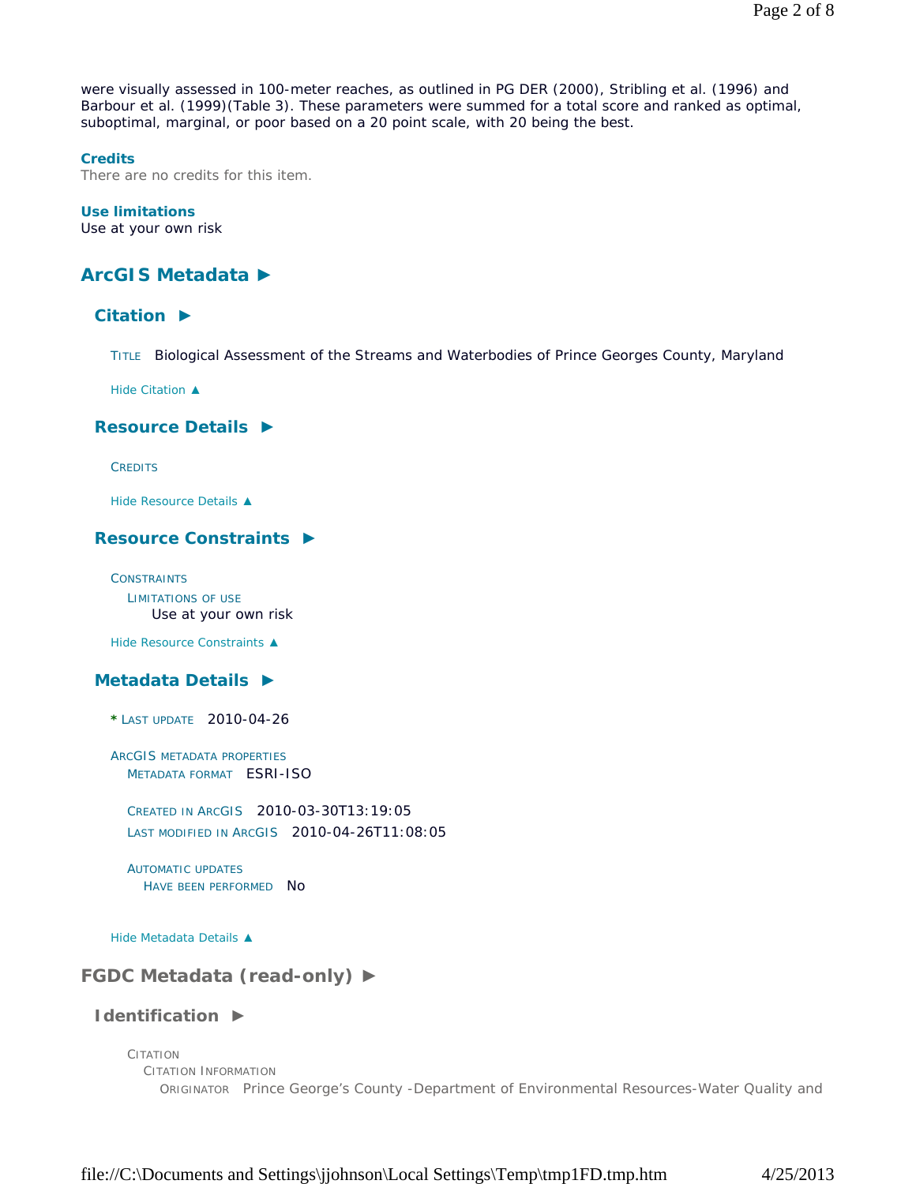were visually assessed in 100-meter reaches, as outlined in PG DER (2000), Stribling et al. (1996) and Barbour et al. (1999)(Table 3). These parameters were summed for a total score and ranked as optimal, suboptimal, marginal, or poor based on a 20 point scale, with 20 being the best.

#### **Credits**

There are no credits for this item.

#### **Use limitations**

Use at your own risk

# **ArcGIS Metadata ►**

# **Citation ►**

TITLE Biological Assessment of the Streams and Waterbodies of Prince Georges County, Maryland

*Hide Citation ▲*

### **Resource Details ►**

**CREDITS** 

*Hide Resource Details ▲*

# **Resource Constraints ►**

**CONSTRAINTS** LIMITATIONS OF USE Use at your own risk

*Hide Resource Constraints ▲*

## **Metadata Details ►**

**\*** LAST UPDATE 2010-04-26

ARCGIS METADATA PROPERTIES METADATA FORMAT ESRI-ISO

CREATED IN ARCGIS 2010-03-30T13:19:05 LAST MODIFIED IN ARCGIS 2010-04-26T11:08:05

AUTOMATIC UPDATES HAVE BEEN PERFORMED NO

*Hide Metadata Details ▲*

# **FGDC Metadata (read-only) ►**

# **Identification ►**

CITATION CITATION INFORMATION ORIGINATOR Prince George's County -Department of Environmental Resources-Water Quality and

file://C:\Documents and Settings\jjohnson\Local Settings\Temp\tmp1FD.tmp.htm 4/25/2013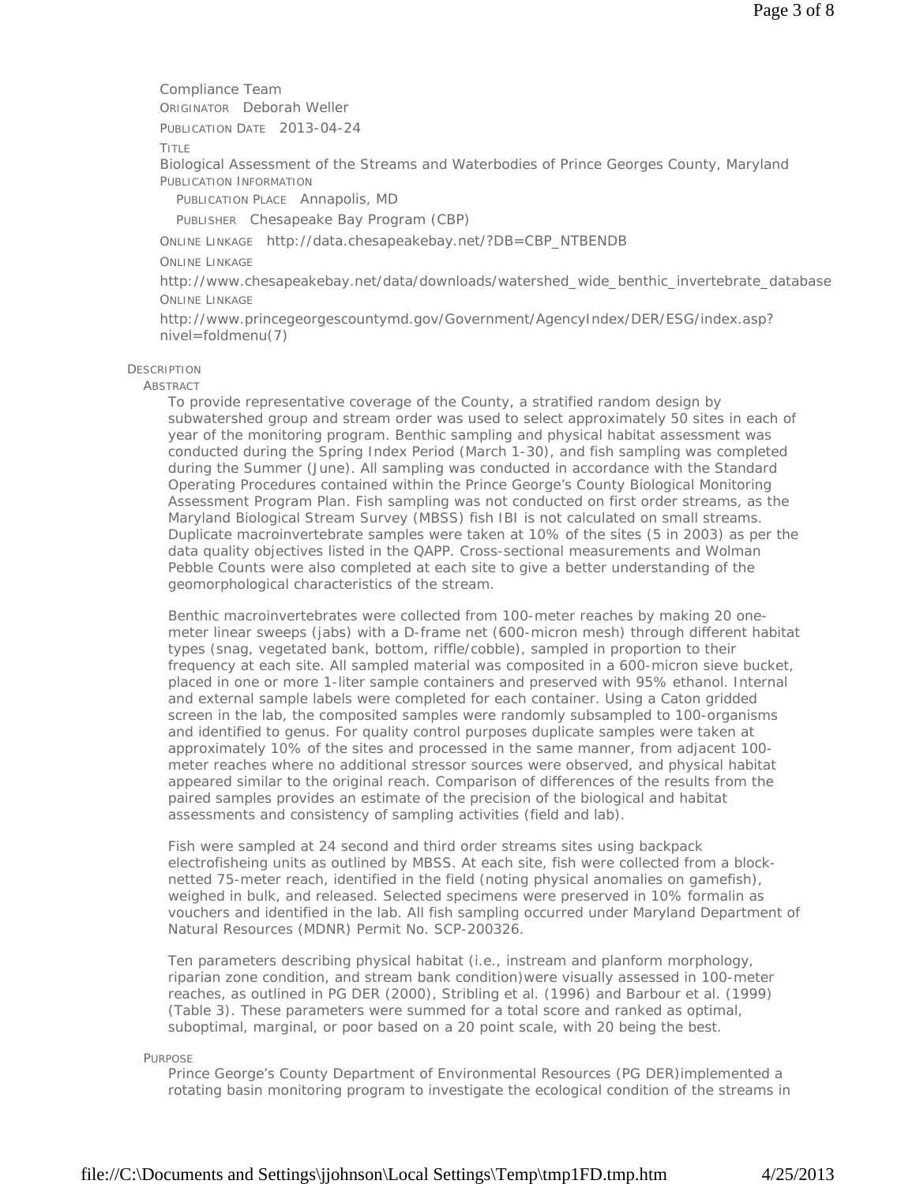Compliance Team

ORIGINATOR Deborah Weller

PUBLICATION DATE 2013-04-24

TITLE

Biological Assessment of the Streams and Waterbodies of Prince Georges County, Maryland PUBLICATION INFORMATION

PUBLICATION PLACE Annapolis, MD

PUBLISHER Chesapeake Bay Program (CBP)

ONLINE LINKAGE http://data.chesapeakebay.net/?DB=CBP\_NTBENDB

#### ONLINE LINKAGE

http://www.chesapeakebay.net/data/downloads/watershed\_wide\_benthic\_invertebrate\_database ONLINE LINKAGE

http://www.princegeorgescountymd.gov/Government/AgencyIndex/DER/ESG/index.asp? nivel=foldmenu(7)

### **DESCRIPTION**

**ABSTRACT** 

To provide representative coverage of the County, a stratified random design by subwatershed group and stream order was used to select approximately 50 sites in each of year of the monitoring program. Benthic sampling and physical habitat assessment was conducted during the Spring Index Period (March 1-30), and fish sampling was completed during the Summer (June). All sampling was conducted in accordance with the Standard Operating Procedures contained within the Prince George's County Biological Monitoring Assessment Program Plan. Fish sampling was not conducted on first order streams, as the Maryland Biological Stream Survey (MBSS) fish IBI is not calculated on small streams. Duplicate macroinvertebrate samples were taken at 10% of the sites (5 in 2003) as per the data quality objectives listed in the QAPP. Cross-sectional measurements and Wolman Pebble Counts were also completed at each site to give a better understanding of the geomorphological characteristics of the stream.

Benthic macroinvertebrates were collected from 100-meter reaches by making 20 onemeter linear sweeps (jabs) with a D-frame net (600-micron mesh) through different habitat types (snag, vegetated bank, bottom, riffle/cobble), sampled in proportion to their frequency at each site. All sampled material was composited in a 600-micron sieve bucket, placed in one or more 1-liter sample containers and preserved with 95% ethanol. Internal and external sample labels were completed for each container. Using a Caton gridded screen in the lab, the composited samples were randomly subsampled to 100-organisms and identified to genus. For quality control purposes duplicate samples were taken at approximately 10% of the sites and processed in the same manner, from adjacent 100 meter reaches where no additional stressor sources were observed, and physical habitat appeared similar to the original reach. Comparison of differences of the results from the paired samples provides an estimate of the precision of the biological and habitat assessments and consistency of sampling activities (field and lab).

Fish were sampled at 24 second and third order streams sites using backpack electrofisheing units as outlined by MBSS. At each site, fish were collected from a blocknetted 75-meter reach, identified in the field (noting physical anomalies on gamefish), weighed in bulk, and released. Selected specimens were preserved in 10% formalin as vouchers and identified in the lab. All fish sampling occurred under Maryland Department of Natural Resources (MDNR) Permit No. SCP-200326.

Ten parameters describing physical habitat (i.e., instream and planform morphology, riparian zone condition, and stream bank condition)were visually assessed in 100-meter reaches, as outlined in PG DER (2000), Stribling et al. (1996) and Barbour et al. (1999) (Table 3). These parameters were summed for a total score and ranked as optimal, suboptimal, marginal, or poor based on a 20 point scale, with 20 being the best.

PURPOSE

Prince George's County Department of Environmental Resources (PG DER)implemented a rotating basin monitoring program to investigate the ecological condition of the streams in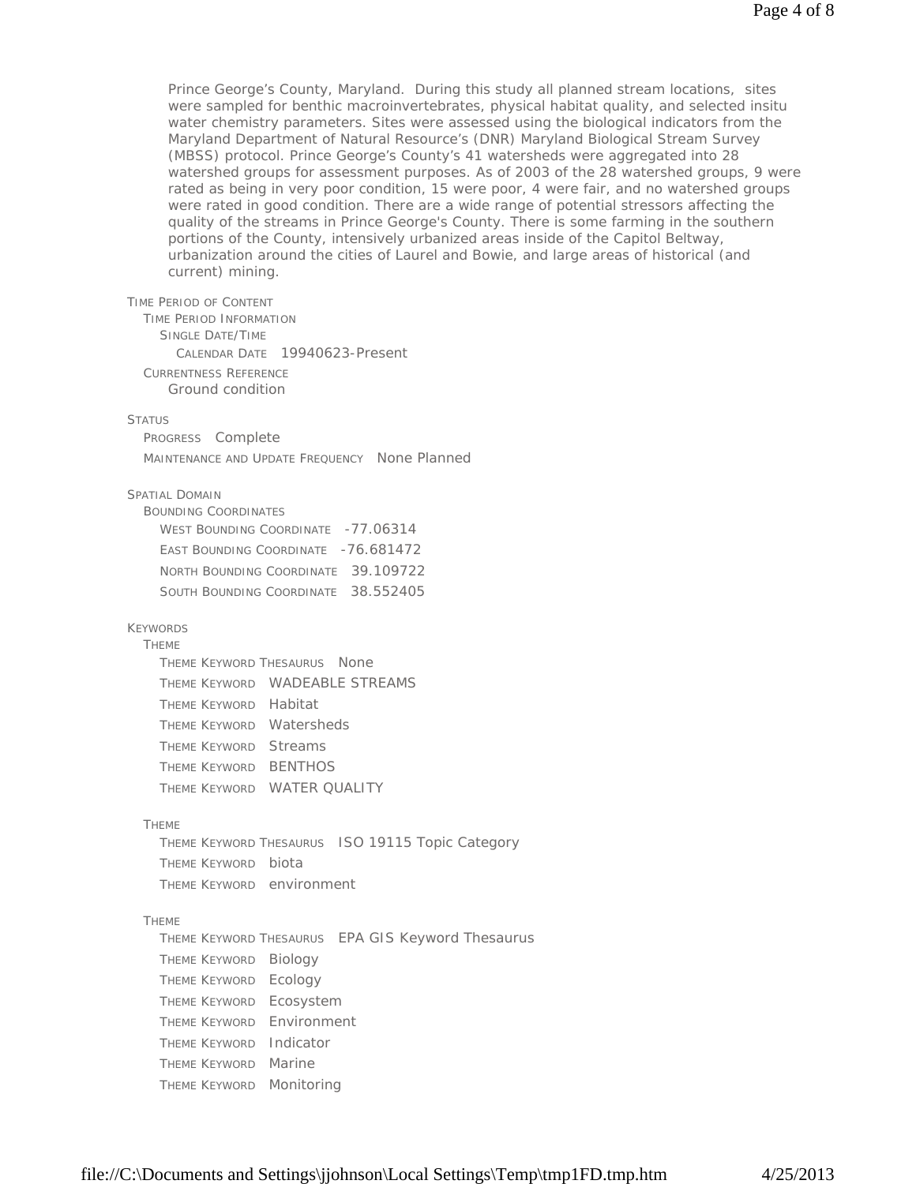Prince George's County, Maryland. During this study all planned stream locations, sites were sampled for benthic macroinvertebrates, physical habitat quality, and selected insitu water chemistry parameters. Sites were assessed using the biological indicators from the Maryland Department of Natural Resource's (DNR) Maryland Biological Stream Survey (MBSS) protocol. Prince George's County's 41 watersheds were aggregated into 28 watershed groups for assessment purposes. As of 2003 of the 28 watershed groups, 9 were rated as being in very poor condition, 15 were poor, 4 were fair, and no watershed groups were rated in good condition. There are a wide range of potential stressors affecting the quality of the streams in Prince George's County. There is some farming in the southern portions of the County, intensively urbanized areas inside of the Capitol Beltway, urbanization around the cities of Laurel and Bowie, and large areas of historical (and current) mining.

TIME PERIOD OF CONTENT

TIME PERIOD INFORMATION SINGLE DATE/TIME CALENDAR DATE 19940623-Present CURRENTNESS REFERENCE Ground condition

#### **STATUS**

PROGRESS Complete MAINTENANCE AND UPDATE FREQUENCY None Planned

#### SPATIAL DOMAIN

| BOUNDING COORDINATES                |  |
|-------------------------------------|--|
| WEST BOUNDING COORDINATE -77.06314  |  |
| EAST BOUNDING COORDINATE -76.681472 |  |
| NORTH BOUNDING COORDINATE 39.109722 |  |
| SOUTH BOUNDING COORDINATE 38.552405 |  |

#### KEYWORDS

#### THEME

|                       | THEME KEYWORD THESAURUS NONE |                                |
|-----------------------|------------------------------|--------------------------------|
|                       |                              | THEME KEYWORD WADEABLE STREAMS |
| THEME KEYWORD Habitat |                              |                                |
|                       | THEME KEYWORD Watersheds     |                                |
| THEME KEYWORD Streams |                              |                                |
|                       | Theme Keyword BENTHOS        |                                |
|                       | THEME KEYWORD WATER QUALITY  |                                |

#### THEME

THEME KEYWORD THESAURUS ISO 19115 Topic Category THEME KEYWORD biota THEME KEYWORD environment

#### THEME

THEME KEYWORD THESAURUS EPA GIS Keyword Thesaurus THEME KEYWORD Biology THEME KEYWORD Ecology THEME KEYWORD Ecosystem THEME KEYWORD Environment THEME KEYWORD Indicator THEME KEYWORD Marine THEME KEYWORD Monitoring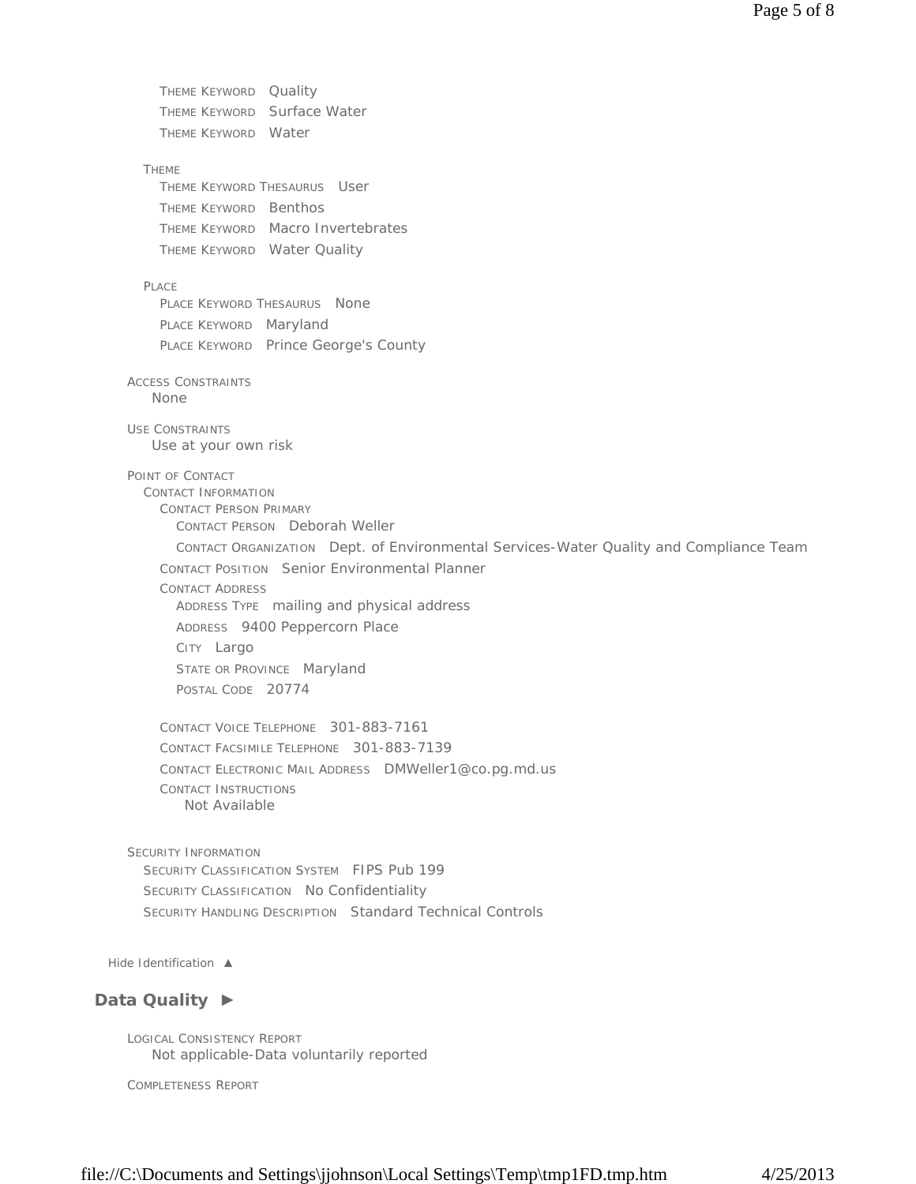THEME KEYWORD Quality THEME KEYWORD Surface Water THEME KEYWORD Water THEME THEME KEYWORD THESAURUS User THEME KEYWORD Benthos THEME KEYWORD Macro Invertebrates THEME KEYWORD Water Quality PLACE PLACE KEYWORD THESAURUS None PLACE KEYWORD Maryland PLACE KEYWORD Prince George's County ACCESS CONSTRAINTS USE CONSTRAINTS POINT OF CONTACT CONTACT INFORMATION CONTACT PERSON PRIMARY CONTACT PERSON Deborah Weller CONTACT ORGANIZATION Dept. of Environmental Services-Water Quality and Compliance Team CONTACT POSITION Senior Environmental Planner CONTACT ADDRESS ADDRESS TYPE mailing and physical address ADDRESS 9400 Peppercorn Place CITY Largo STATE OR PROVINCE Maryland POSTAL CODE 20774 CONTACT VOICE TELEPHONE 301-883-7161 CONTACT FACSIMILE TELEPHONE 301-883-7139 CONTACT ELECTRONIC MAIL ADDRESS DMWeller1@co.pg.md.us CONTACT INSTRUCTIONS SECURITY INFORMATION SECURITY CLASSIFICATION SYSTEM FIPS Pub 199 SECURITY CLASSIFICATION No Confidentiality SECURITY HANDLING DESCRIPTION Standard Technical Controls None Use at your own risk Not Available

*Hide Identification ▲*

# **Data Quality ►**

LOGICAL CONSISTENCY REPORT Not applicable-Data voluntarily reported

COMPLETENESS REPORT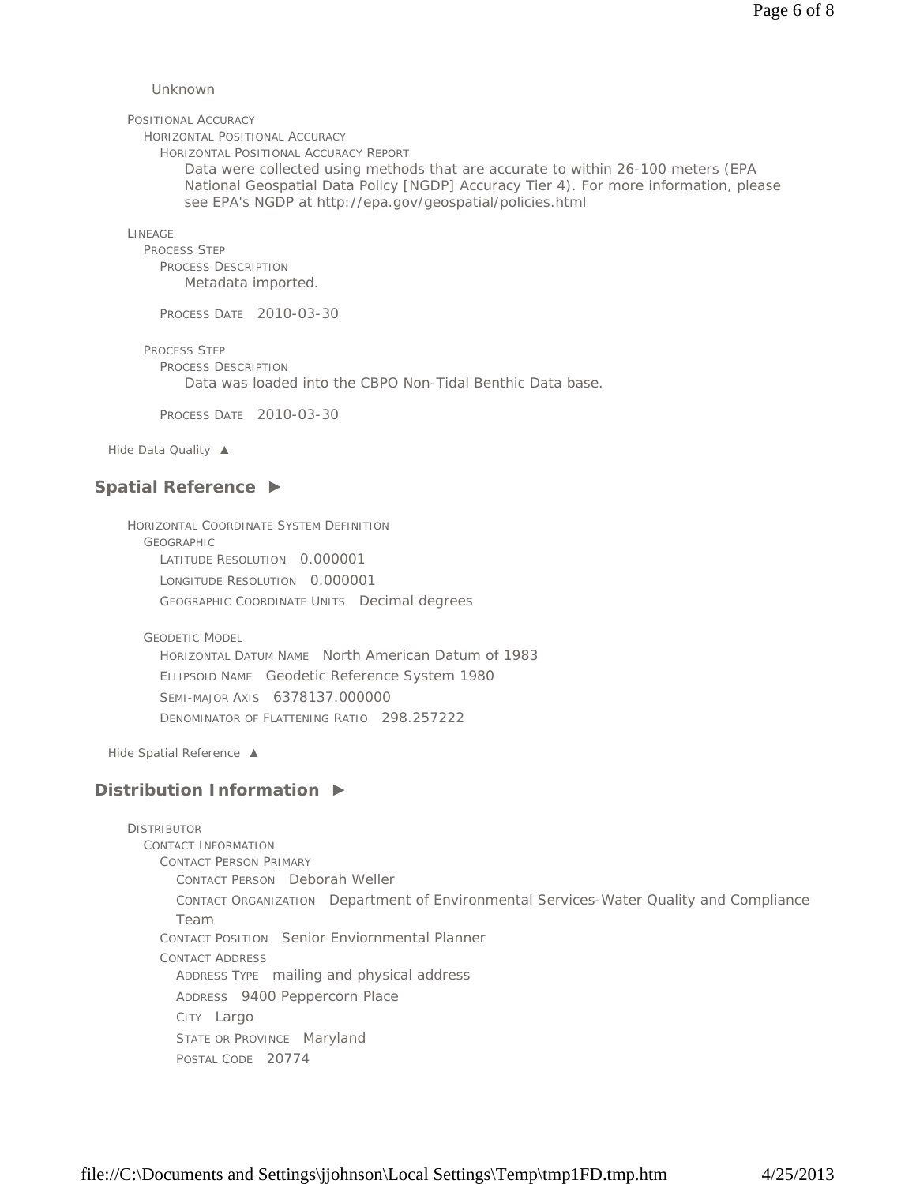Unknown

POSITIONAL ACCURACY

HORIZONTAL POSITIONAL ACCURACY

HORIZONTAL POSITIONAL ACCURACY REPORT

Data were collected using methods that are accurate to within 26-100 meters (EPA National Geospatial Data Policy [NGDP] Accuracy Tier 4). For more information, please see EPA's NGDP at http://epa.gov/geospatial/policies.html

LINEAGE

PROCESS STEP PROCESS DESCRIPTION Metadata imported.

PROCESS DATE 2010-03-30

PROCESS STEP

PROCESS DESCRIPTION

Data was loaded into the CBPO Non-Tidal Benthic Data base.

PROCESS DATE 2010-03-30

*Hide Data Quality ▲*

## **Spatial Reference ►**

HORIZONTAL COORDINATE SYSTEM DEFINITION GEOGRAPHIC LATITUDE RESOLUTION 0.000001 LONGITUDE RESOLUTION 0.000001 GEOGRAPHIC COORDINATE UNITS Decimal degrees

GEODETIC MODEL

HORIZONTAL DATUM NAME North American Datum of 1983 ELLIPSOID NAME Geodetic Reference System 1980 SEMI-MAJOR AXIS 6378137.000000 DENOMINATOR OF FLATTENING RATIO 298.257222

*Hide Spatial Reference ▲*

# **Distribution Information ►**

**DISTRIBUTOR** CONTACT INFORMATION CONTACT PERSON PRIMARY CONTACT PERSON Deborah Weller CONTACT ORGANIZATION Department of Environmental Services-Water Quality and Compliance Team CONTACT POSITION Senior Enviornmental Planner CONTACT ADDRESS ADDRESS TYPE mailing and physical address ADDRESS 9400 Peppercorn Place CITY Largo STATE OR PROVINCE Maryland POSTAL CODE 20774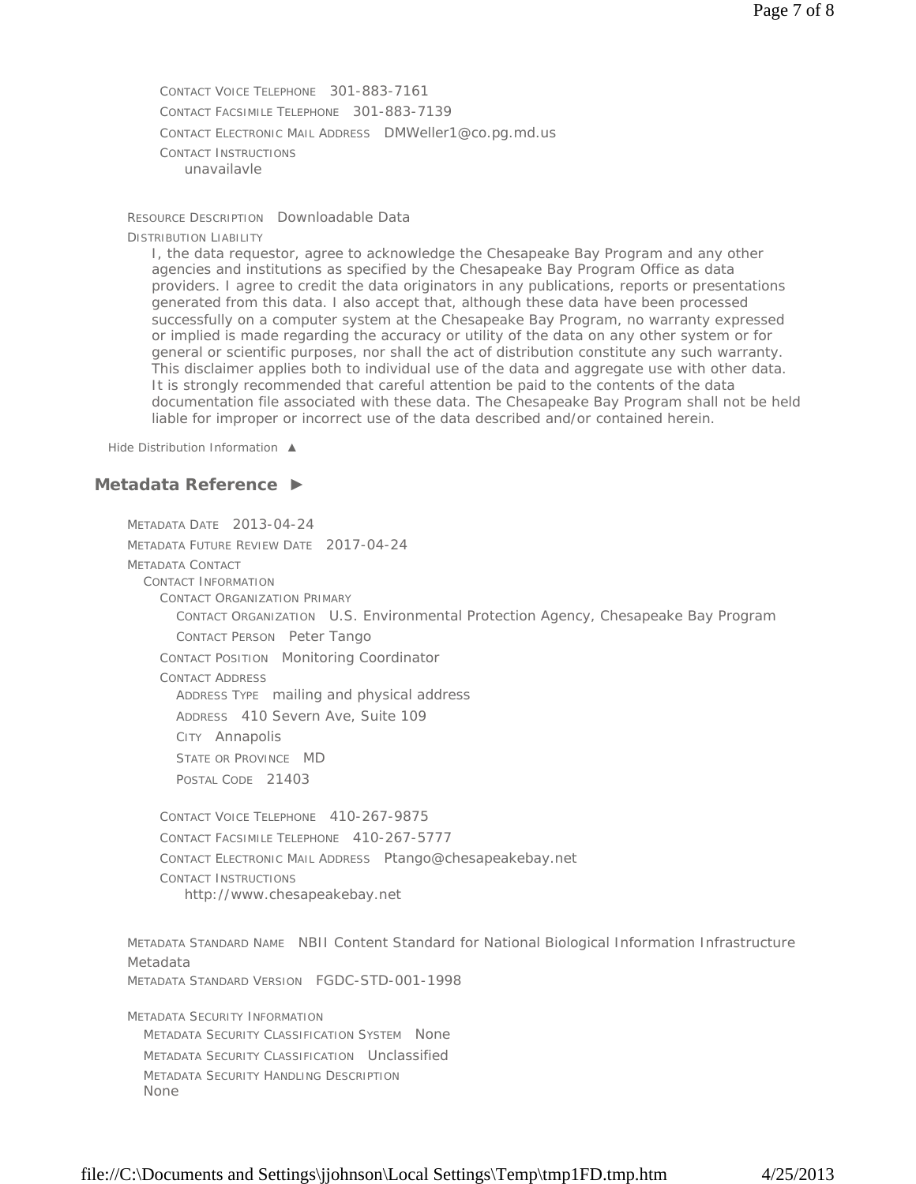CONTACT VOICE TELEPHONE 301-883-7161 CONTACT FACSIMILE TELEPHONE 301-883-7139 CONTACT ELECTRONIC MAIL ADDRESS DMWeller1@co.pg.md.us CONTACT INSTRUCTIONS unavailavle

RESOURCE DESCRIPTION Downloadable Data DISTRIBUTION LIABILITY

I, the data requestor, agree to acknowledge the Chesapeake Bay Program and any other agencies and institutions as specified by the Chesapeake Bay Program Office as data providers. I agree to credit the data originators in any publications, reports or presentations generated from this data. I also accept that, although these data have been processed successfully on a computer system at the Chesapeake Bay Program, no warranty expressed or implied is made regarding the accuracy or utility of the data on any other system or for general or scientific purposes, nor shall the act of distribution constitute any such warranty. This disclaimer applies both to individual use of the data and aggregate use with other data. It is strongly recommended that careful attention be paid to the contents of the data documentation file associated with these data. The Chesapeake Bay Program shall not be held liable for improper or incorrect use of the data described and/or contained herein.

*Hide Distribution Information ▲*

# **Metadata Reference ►**

METADATA DATE 2013-04-24 METADATA FUTURE REVIEW DATE 2017-04-24 METADATA CONTACT CONTACT INFORMATION CONTACT ORGANIZATION PRIMARY CONTACT ORGANIZATION U.S. Environmental Protection Agency, Chesapeake Bay Program CONTACT PERSON Peter Tango CONTACT POSITION Monitoring Coordinator CONTACT ADDRESS ADDRESS TYPE mailing and physical address ADDRESS 410 Severn Ave, Suite 109 CITY Annapolis STATE OR PROVINCE MD POSTAL CODE 21403 CONTACT VOICE TELEPHONE 410-267-9875 CONTACT FACSIMILE TELEPHONE 410-267-5777 CONTACT ELECTRONIC MAIL ADDRESS Ptango@chesapeakebay.net

CONTACT INSTRUCTIONS http://www.chesapeakebay.net

METADATA STANDARD NAME NBII Content Standard for National Biological Information Infrastructure Metadata METADATA STANDARD VERSION FGDC-STD-001-1998

METADATA SECURITY INFORMATION METADATA SECURITY CLASSIFICATION SYSTEM None METADATA SECURITY CLASSIFICATION Unclassified METADATA SECURITY HANDLING DESCRIPTION None